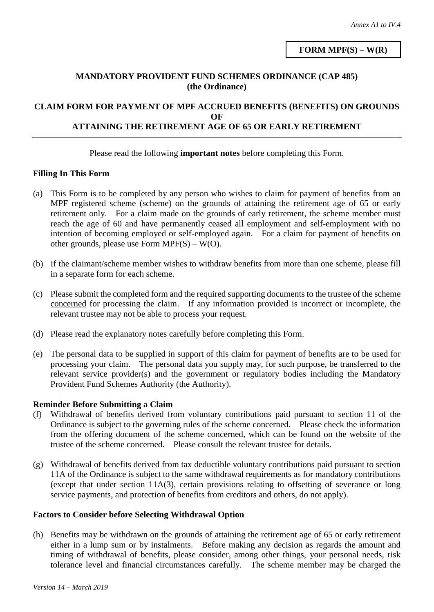**FORM MPF(S) – W(R)**

### **MANDATORY PROVIDENT FUND SCHEMES ORDINANCE (CAP 485) (the Ordinance)**

### **CLAIM FORM FOR PAYMENT OF MPF ACCRUED BENEFITS (BENEFITS) ON GROUNDS OF ATTAINING THE RETIREMENT AGE OF 65 OR EARLY RETIREMENT**

#### Please read the following **important notes** before completing this Form.

### **Filling In This Form**

- (a) This Form is to be completed by any person who wishes to claim for payment of benefits from an MPF registered scheme (scheme) on the grounds of attaining the retirement age of 65 or early retirement only. For a claim made on the grounds of early retirement, the scheme member must reach the age of 60 and have permanently ceased all employment and self-employment with no intention of becoming employed or self-employed again. For a claim for payment of benefits on other grounds, please use Form  $MPF(S) - W(O)$ .
- (b) If the claimant/scheme member wishes to withdraw benefits from more than one scheme, please fill in a separate form for each scheme.
- (c) Please submit the completed form and the required supporting documents to the trustee of the scheme concerned for processing the claim. If any information provided is incorrect or incomplete, the relevant trustee may not be able to process your request.
- (d) Please read the explanatory notes carefully before completing this Form.
- (e) The personal data to be supplied in support of this claim for payment of benefits are to be used for processing your claim. The personal data you supply may, for such purpose, be transferred to the relevant service provider(s) and the government or regulatory bodies including the Mandatory Provident Fund Schemes Authority (the Authority).

### **Reminder Before Submitting a Claim**

- (f) Withdrawal of benefits derived from voluntary contributions paid pursuant to section 11 of the Ordinance is subject to the governing rules of the scheme concerned. Please check the information from the offering document of the scheme concerned, which can be found on the website of the trustee of the scheme concerned. Please consult the relevant trustee for details.
- (g) Withdrawal of benefits derived from tax deductible voluntary contributions paid pursuant to section 11A of the Ordinance is subject to the same withdrawal requirements as for mandatory contributions (except that under section 11A(3), certain provisions relating to offsetting of severance or long service payments, and protection of benefits from creditors and others, do not apply).

#### **Factors to Consider before Selecting Withdrawal Option**

(h) Benefits may be withdrawn on the grounds of attaining the retirement age of 65 or early retirement either in a lump sum or by instalments. Before making any decision as regards the amount and timing of withdrawal of benefits, please consider, among other things, your personal needs, risk tolerance level and financial circumstances carefully. The scheme member may be charged the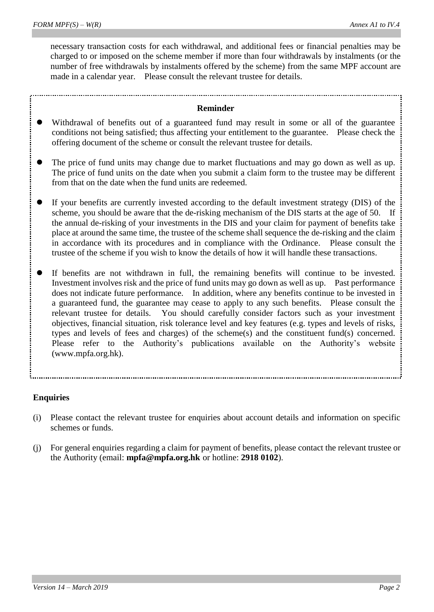necessary transaction costs for each withdrawal, and additional fees or financial penalties may be charged to or imposed on the scheme member if more than four withdrawals by instalments (or the number of free withdrawals by instalments offered by the scheme) from the same MPF account are made in a calendar year. Please consult the relevant trustee for details.

#### **Reminder**

- Withdrawal of benefits out of a guaranteed fund may result in some or all of the guarantee conditions not being satisfied; thus affecting your entitlement to the guarantee. Please check the offering document of the scheme or consult the relevant trustee for details.
- The price of fund units may change due to market fluctuations and may go down as well as up. The price of fund units on the date when you submit a claim form to the trustee may be different from that on the date when the fund units are redeemed.
- If your benefits are currently invested according to the default investment strategy (DIS) of the scheme, you should be aware that the de-risking mechanism of the DIS starts at the age of 50. If the annual de-risking of your investments in the DIS and your claim for payment of benefits take place at around the same time, the trustee of the scheme shall sequence the de-risking and the claim in accordance with its procedures and in compliance with the Ordinance. Please consult the trustee of the scheme if you wish to know the details of how it will handle these transactions.
- If benefits are not withdrawn in full, the remaining benefits will continue to be invested. Investment involves risk and the price of fund units may go down as well as up. Past performance does not indicate future performance. In addition, where any benefits continue to be invested in a guaranteed fund, the guarantee may cease to apply to any such benefits. Please consult the relevant trustee for details. You should carefully consider factors such as your investment objectives, financial situation, risk tolerance level and key features (e.g. types and levels of risks, types and levels of fees and charges) of the scheme(s) and the constituent fund(s) concerned. Please refer to the Authority's publications available on the Authority's website (www.mpfa.org.hk).

### **Enquiries**

- (i) Please contact the relevant trustee for enquiries about account details and information on specific schemes or funds.
- (j) For general enquiries regarding a claim for payment of benefits, please contact the relevant trustee or the Authority (email: **[mpfa@mpfa.org.hk](mailto:mpfa@mpfa.org.hk)** or hotline: **2918 0102**).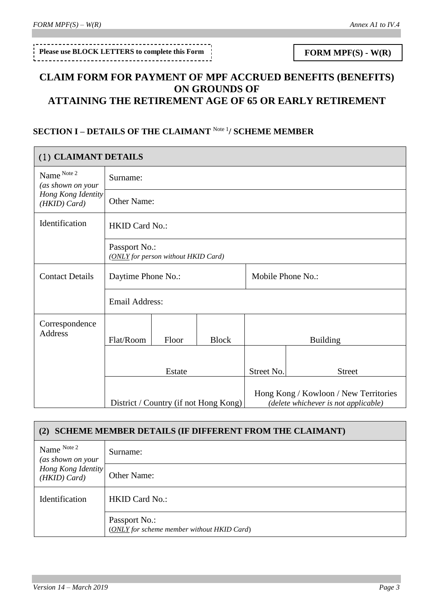# Please use BLOCK LETTERS to complete this Form **FORM MPF(S)** -  $W(R)$

# **CLAIM FORM FOR PAYMENT OF MPF ACCRUED BENEFITS (BENEFITS) ON GROUNDS OF ATTAINING THE RETIREMENT AGE OF 65 OR EARLY RETIREMENT**

# **SECTION I – DETAILS OF THE CLAIMANT** Note 1**/ SCHEME MEMBER**

| (1) CLAIMANT DETAILS               |                                                      |       |                                       |               |                                                                               |  |
|------------------------------------|------------------------------------------------------|-------|---------------------------------------|---------------|-------------------------------------------------------------------------------|--|
| Name Note 2<br>(as shown on your   | Surname:                                             |       |                                       |               |                                                                               |  |
| Hong Kong Identity<br>(HKID) Card) | Other Name:                                          |       |                                       |               |                                                                               |  |
| Identification                     | <b>HKID Card No.:</b>                                |       |                                       |               |                                                                               |  |
|                                    | Passport No.:<br>(ONLY for person without HKID Card) |       |                                       |               |                                                                               |  |
| <b>Contact Details</b>             | Daytime Phone No.:                                   |       | Mobile Phone No.:                     |               |                                                                               |  |
|                                    | <b>Email Address:</b>                                |       |                                       |               |                                                                               |  |
| Correspondence<br><b>Address</b>   | Flat/Room                                            | Floor | <b>Block</b>                          |               | <b>Building</b>                                                               |  |
|                                    |                                                      |       |                                       |               |                                                                               |  |
|                                    | Estate                                               |       | Street No.                            | <b>Street</b> |                                                                               |  |
|                                    |                                                      |       | District / Country (if not Hong Kong) |               | Hong Kong / Kowloon / New Territories<br>(delete whichever is not applicable) |  |

| <b>SCHEME MEMBER DETAILS (IF DIFFERENT FROM THE CLAIMANT)</b><br>(2) |                                                             |  |  |  |
|----------------------------------------------------------------------|-------------------------------------------------------------|--|--|--|
| Name Note 2<br>(as shown on your                                     | Surname:                                                    |  |  |  |
| Hong Kong Identity<br>$(HKID)$ Card)                                 | <b>Other Name:</b>                                          |  |  |  |
| Identification                                                       | <b>HKID Card No.:</b>                                       |  |  |  |
|                                                                      | Passport No.:<br>(ONLY for scheme member without HKID Card) |  |  |  |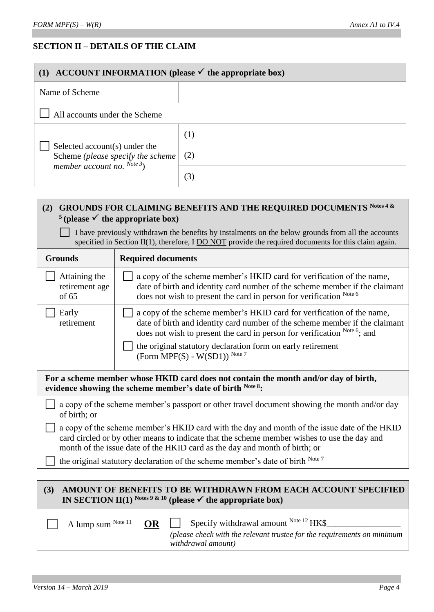# **SECTION II – DETAILS OF THE CLAIM**

| (1) ACCOUNT INFORMATION (please $\checkmark$ the appropriate box)                                       |                                                                                                                                                                                                                                                                                                                       |  |  |  |
|---------------------------------------------------------------------------------------------------------|-----------------------------------------------------------------------------------------------------------------------------------------------------------------------------------------------------------------------------------------------------------------------------------------------------------------------|--|--|--|
| Name of Scheme                                                                                          |                                                                                                                                                                                                                                                                                                                       |  |  |  |
| All accounts under the Scheme                                                                           |                                                                                                                                                                                                                                                                                                                       |  |  |  |
|                                                                                                         | (1)                                                                                                                                                                                                                                                                                                                   |  |  |  |
| Selected account(s) under the<br>Scheme (please specify the scheme<br>member account no. $^{Note 3}$ )  | (2)                                                                                                                                                                                                                                                                                                                   |  |  |  |
|                                                                                                         | (3)                                                                                                                                                                                                                                                                                                                   |  |  |  |
| (2)<br><sup>5</sup> (please $\checkmark$ the appropriate box)<br>$\mathbf{1}$ $\mathbf{1}$ $\mathbf{x}$ | <b>GROUNDS FOR CLAIMING BENEFITS AND THE REQUIRED DOCUMENTS Notes 4 &amp;</b><br><u>in the state of a contract of the state of the state of the state of the state of the state of the state of the state of the state of the state of the state of the state of the state of the state of the state of the state</u> |  |  |  |

□ I have previously withdrawn the benefits by instalments on the below grounds from all the accounts specified in Section II(1), therefore, I DO NOT provide the required documents for this claim again.

| <b>Grounds</b>                                                                                                                                                                                                                                                            | <b>Required documents</b>                                                                                                                                                                                                                                                                                                           |  |  |
|---------------------------------------------------------------------------------------------------------------------------------------------------------------------------------------------------------------------------------------------------------------------------|-------------------------------------------------------------------------------------------------------------------------------------------------------------------------------------------------------------------------------------------------------------------------------------------------------------------------------------|--|--|
| Attaining the<br>retirement age<br>of 65                                                                                                                                                                                                                                  | a copy of the scheme member's HKID card for verification of the name,<br>date of birth and identity card number of the scheme member if the claimant<br>does not wish to present the card in person for verification Note 6                                                                                                         |  |  |
| Early<br>retirement                                                                                                                                                                                                                                                       | a copy of the scheme member's HKID card for verification of the name,<br>date of birth and identity card number of the scheme member if the claimant<br>does not wish to present the card in person for verification Note 6; and<br>the original statutory declaration form on early retirement<br>(Form MPF(S) - $W(SD1)$ ) Note 7 |  |  |
| For a scheme member whose HKID card does not contain the month and/or day of birth,<br>evidence showing the scheme member's date of birth Note 8:                                                                                                                         |                                                                                                                                                                                                                                                                                                                                     |  |  |
| of birth; or                                                                                                                                                                                                                                                              | a copy of the scheme member's passport or other travel document showing the month and/or day                                                                                                                                                                                                                                        |  |  |
| a copy of the scheme member's HKID card with the day and month of the issue date of the HKID<br>card circled or by other means to indicate that the scheme member wishes to use the day and<br>month of the issue date of the HKID card as the day and month of birth; or |                                                                                                                                                                                                                                                                                                                                     |  |  |
| the original statutory declaration of the scheme member's date of birth Note 7                                                                                                                                                                                            |                                                                                                                                                                                                                                                                                                                                     |  |  |
|                                                                                                                                                                                                                                                                           |                                                                                                                                                                                                                                                                                                                                     |  |  |
| AMOUNT OF BENEFITS TO BE WITHDRAWN FROM EACH ACCOUNT SPECIFIED<br>(3)<br>IN SECTION II(1) Notes 9 & 10 (please $\checkmark$ the appropriate box)                                                                                                                          |                                                                                                                                                                                                                                                                                                                                     |  |  |
| A lump sum Note 11                                                                                                                                                                                                                                                        | Specify withdrawal amount $^{Note 12}$ HK\$<br><b>OR</b><br>(please check with the relevant trustee for the requirements on minimum                                                                                                                                                                                                 |  |  |

*withdrawal amount)*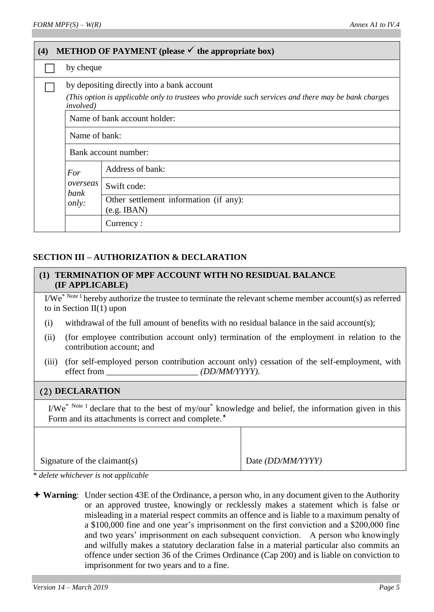| <b>METHOD OF PAYMENT</b> (please $\checkmark$ the appropriate box)<br>(4) |                                                                                                                                                                        |                                                            |  |  |  |
|---------------------------------------------------------------------------|------------------------------------------------------------------------------------------------------------------------------------------------------------------------|------------------------------------------------------------|--|--|--|
|                                                                           | by cheque                                                                                                                                                              |                                                            |  |  |  |
|                                                                           | by depositing directly into a bank account<br>(This option is applicable only to trustees who provide such services and there may be bank charges<br><i>involved</i> ) |                                                            |  |  |  |
|                                                                           | Name of bank account holder:                                                                                                                                           |                                                            |  |  |  |
|                                                                           | Name of bank:                                                                                                                                                          |                                                            |  |  |  |
|                                                                           | Bank account number:                                                                                                                                                   |                                                            |  |  |  |
|                                                                           | For                                                                                                                                                                    | Address of bank:                                           |  |  |  |
|                                                                           | overseas<br>bank<br><i>only:</i>                                                                                                                                       | Swift code:                                                |  |  |  |
|                                                                           |                                                                                                                                                                        | Other settlement information (if any):<br>$(e.g.$ IBAN $)$ |  |  |  |
|                                                                           |                                                                                                                                                                        | Currency:                                                  |  |  |  |

## **SECTION III – AUTHORIZATION & DECLARATION**

### **(1) TERMINATION OF MPF ACCOUNT WITH NO RESIDUAL BALANCE (IF APPLICABLE)**

I/We\* Note 1 hereby authorize the trustee to terminate the relevant scheme member account(s) as referred to in Section II(1) upon

- (i) withdrawal of the full amount of benefits with no residual balance in the said account(s);
- (ii) (for employee contribution account only) termination of the employment in relation to the contribution account; and
- (iii) (for self-employed person contribution account only) cessation of the self-employment, with effect from  $\left(DD/MM/YYYY\right)$ .

### (2) **DECLARATION**

 $I/We^*$ <sup>Note 1</sup> declare that to the best of my/our<sup>\*</sup> knowledge and belief, the information given in this Form and its attachments is correct and complete.<sup>+</sup>

| Signature of the claimant(s) | Date <i>(DD/MM/YYYY)</i> |
|------------------------------|--------------------------|

\* *delete whichever is not applicable*

**Warning**: Under section 43E of the Ordinance, a person who, in any document given to the Authority or an approved trustee, knowingly or recklessly makes a statement which is false or misleading in a material respect commits an offence and is liable to a maximum penalty of a \$100,000 fine and one year's imprisonment on the first conviction and a \$200,000 fine and two years' imprisonment on each subsequent conviction. A person who knowingly and wilfully makes a statutory declaration false in a material particular also commits an offence under section 36 of the Crimes Ordinance (Cap 200) and is liable on conviction to imprisonment for two years and to a fine.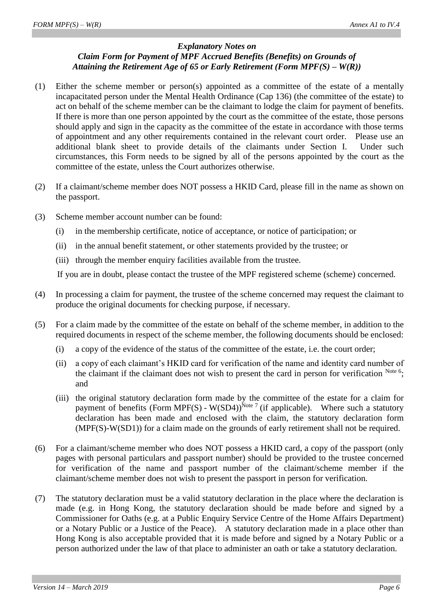### *Explanatory Notes on Claim Form for Payment of MPF Accrued Benefits (Benefits) on Grounds of Attaining the Retirement Age of 65 or Early Retirement (Form MPF(S) – W(R))*

- (1) Either the scheme member or person(s) appointed as a committee of the estate of a mentally incapacitated person under the Mental Health Ordinance (Cap 136) (the committee of the estate) to act on behalf of the scheme member can be the claimant to lodge the claim for payment of benefits. If there is more than one person appointed by the court as the committee of the estate, those persons should apply and sign in the capacity as the committee of the estate in accordance with those terms of appointment and any other requirements contained in the relevant court order. Please use an additional blank sheet to provide details of the claimants under Section I. Under such circumstances, this Form needs to be signed by all of the persons appointed by the court as the committee of the estate, unless the Court authorizes otherwise.
- (2) If a claimant/scheme member does NOT possess a HKID Card, please fill in the name as shown on the passport.
- (3) Scheme member account number can be found:
	- (i) in the membership certificate, notice of acceptance, or notice of participation; or
	- (ii) in the annual benefit statement, or other statements provided by the trustee; or
	- (iii) through the member enquiry facilities available from the trustee.

If you are in doubt, please contact the trustee of the MPF registered scheme (scheme) concerned.

- (4) In processing a claim for payment, the trustee of the scheme concerned may request the claimant to produce the original documents for checking purpose, if necessary.
- (5) For a claim made by the committee of the estate on behalf of the scheme member, in addition to the required documents in respect of the scheme member, the following documents should be enclosed:
	- (i) a copy of the evidence of the status of the committee of the estate, i.e. the court order;
	- (ii) a copy of each claimant's HKID card for verification of the name and identity card number of the claimant if the claimant does not wish to present the card in person for verification Note 6; and
	- (iii) the original statutory declaration form made by the committee of the estate for a claim for payment of benefits (Form MPF(S) - W(SD4))<sup>Note 7</sup> (if applicable). Where such a statutory declaration has been made and enclosed with the claim, the statutory declaration form (MPF(S)-W(SD1)) for a claim made on the grounds of early retirement shall not be required.
- (6) For a claimant/scheme member who does NOT possess a HKID card, a copy of the passport (only pages with personal particulars and passport number) should be provided to the trustee concerned for verification of the name and passport number of the claimant/scheme member if the claimant/scheme member does not wish to present the passport in person for verification.
- (7) The statutory declaration must be a valid statutory declaration in the place where the declaration is made (e.g. in Hong Kong, the statutory declaration should be made before and signed by a Commissioner for Oaths (e.g. at a Public Enquiry Service Centre of the Home Affairs Department) or a Notary Public or a Justice of the Peace). A statutory declaration made in a place other than Hong Kong is also acceptable provided that it is made before and signed by a Notary Public or a person authorized under the law of that place to administer an oath or take a statutory declaration.